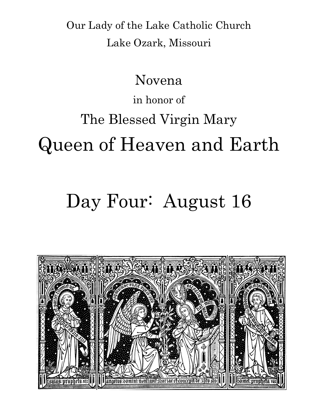Our Lady of the Lake Catholic Church Lake Ozark, Missouri

# Novena in honor of The Blessed Virgin Mary Queen of Heaven and Earth

# Day Four: August 16

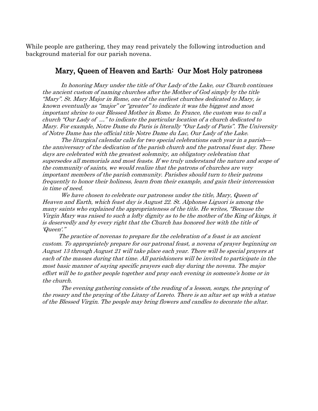While people are gathering, they may read privately the following introduction and background material for our parish novena.

#### Mary, Queen of Heaven and Earth: Our Most Holy patroness

In honoring Mary under the title of Our Lady of the Lake, our Church continues the ancient custom of naming churches after the Mother of God simply by the title "Mary". St. Mary Major in Rome, one of the earliest churches dedicated to Mary, is known eventually as "major" or "greater" to indicate it was the biggest and most important shrine to our Blessed Mother in Rome. In France, the custom was to call a church "Our Lady of …" to indicate the particular location of a church dedicated to Mary. For example, Notre Dame du Paris is literally "Our Lady of Paris". The Universit<sup>y</sup> of Notre Dame has the official title Notre Dame du Lac, Our Lady of the Lake.

The liturgical calendar calls for two special celebrations each year in a parish the anniversary of the dedication of the parish church and the patronal feast day. These days are celebrated with the greatest solemnity, an obligatory celebration that supersedes all memorials and most feasts. If we truly understand the nature and scope of the community of saints, we would realize that the patrons of churches are very important members of the parish community. Parishes should turn to their patrons frequently to honor their holiness, learn from their example, and gain their intercession in time of need.

We have chosen to celebrate our patroness under the title, Mary, Queen of Heaven and Earth, which feast day is August 22. St. Alphonse Liguori is among the many saints who explained the appropriateness of the title. He writes, "Because the Virgin Mary was raised to such a lofty dignity as to be the mother of the King of kings, it is deservedly and by every right that the Church has honored her with the title of 'Queen'."

The practice of novenas to prepare for the celebration of a feast is an ancient custom. To appropriately prepare for our patronal feast, a novena of prayer beginning on August 13 through August 21 will take place each year. There will be special prayers at each of the masses during that time. All parishioners will be invited to participate in the most basic manner of saying specific prayers each day during the novena. The major effort will be to gather people together and pray each evening in someone's home or in the church.

The evening gathering consists of the reading of a lesson, songs, the praying of the rosary and the praying of the Litany of Loreto. There is an altar set up with a statue of the Blessed Virgin. The people may bring flowers and candles to decorate the altar.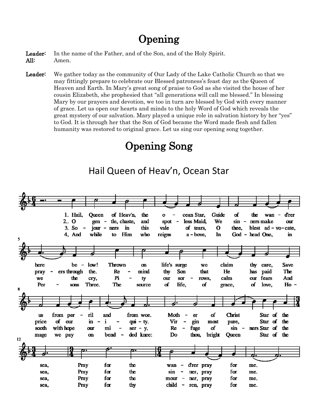# Opening

Leader: In the name of the Father, and of the Son, and of the Holy Spirit. All: Amen.

Leader: We gather today as the community of Our Lady of the Lake Catholic Church so that we may fittingly prepare to celebrate our Blessed patroness's feast day as the Queen of Heaven and Earth. In Mary's great song of praise to God as she visited the house of her cousin Elizabeth, she prophesied that "all generations will call me blessed." In blessing Mary by our prayers and devotion, we too in turn are blessed by God with every manner of grace. Let us open our hearts and minds to the holy Word of God which reveals the great mystery of our salvation. Mary played a unique role in salvation history by her "yes" to God. It is through her that the Son of God became the Word made flesh and fallen humanity was restored to original grace. Let us sing our opening song together.

# Opening Song

### Hail Queen of Heav'n, Ocean Star

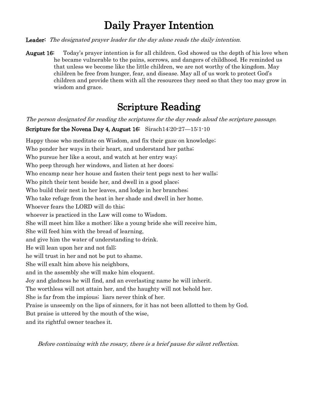# Daily Prayer Intention

Leader: The designated prayer leader for the day alone reads the daily intention.

August 16: Today's prayer intention is for all children. God showed us the depth of his love when he became vulnerable to the pains, sorrows, and dangers of childhood. He reminded us that unless we become like the little children, we are not worthy of the kingdom. May children be free from hunger, fear, and disease. May all of us work to protect God's children and provide them with all the resources they need so that they too may grow in wisdom and grace.

## Scripture Reading

The person designated for reading the scriptures for the day reads aloud the scripture passage.

#### Scripture for the Novena Day 4, August 16: Sirach14:20-27—15:1-10

Happy those who meditate on Wisdom, and fix their gaze on knowledge; Who ponder her ways in their heart, and understand her paths; Who pursue her like a scout, and watch at her entry way; Who peep through her windows, and listen at her doors; Who encamp near her house and fasten their tent pegs next to her walls; Who pitch their tent beside her, and dwell in a good place; Who build their nest in her leaves, and lodge in her branches; Who take refuge from the heat in her shade and dwell in her home. Whoever fears the LORD will do this; whoever is practiced in the Law will come to Wisdom. She will meet him like a mother; like a young bride she will receive him, She will feed him with the bread of learning, and give him the water of understanding to drink. He will lean upon her and not fall; he will trust in her and not be put to shame. She will exalt him above his neighbors, and in the assembly she will make him eloquent. Joy and gladness he will find, and an everlasting name he will inherit. The worthless will not attain her, and the haughty will not behold her. She is far from the impious; liars never think of her. Praise is unseemly on the lips of sinners, for it has not been allotted to them by God. But praise is uttered by the mouth of the wise,

and its rightful owner teaches it.

Before continuing with the rosary, there is a brief pause for silent reflection.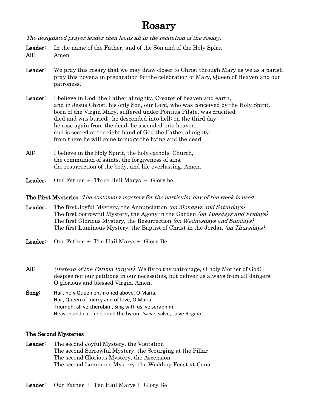## Rosary

The designated prayer leader then leads all in the recitation of the rosary.

Leader: In the name of the Father, and of the Son and of the Holy Spirit. All: Amen

- Leader: We pray this rosary that we may draw closer to Christ through Mary as we as a parish pray this novena in preparation for the celebration of Mary, Queen of Heaven and our patroness.
- Leader: I believe in God, the Father almighty, Creator of heaven and earth, and in Jesus Christ, his only Son, our Lord, who was conceived by the Holy Spirit, born of the Virgin Mary, suffered under Pontius Pilate, was crucified, died and was buried; he descended into hell; on the third day he rose again from the dead; he ascended into heaven, and is seated at the right hand of God the Father almighty; from there he will come to judge the living and the dead.
- All: I believe in the Holy Spirit, the holy catholic Church, the communion of saints, the forgiveness of sins, the resurrection of the body, and life everlasting. Amen.
- Leader: Our Father + Three Hail Marys + Glory be

The First Mysteries The customary mystery for the particular day of the week is used.

- **Leader:** The first Joyful Mystery, the Annunciation (on Mondays and Saturdays) The first Sorrowful Mystery, the Agony in the Garden (on Tuesdays and Fridays) The first Glorious Mystery, the Resurrection (on Wednesdays and Sundays) The first Luminous Mystery, the Baptist of Christ in the Jordan (on Thursdays)
- Leader: Our Father + Ten Hail Marys + Glory Be

All: (Instead of the Fatima Prayer) We fly to thy patronage, O holy Mother of God; despise not our petitions in our necessities, but deliver us always from all dangers, O glorious and blessed Virgin. Amen.

Song: Hail, holy Queen enthroned above, O Maria. Hail, Queen of mercy and of love, O Maria. Triumph, all ye cherubim, Sing with us, ye seraphim, Heaven and earth resound the hymn: Salve, salve, salve Regina!

#### The Second Mysteries

Leader: The second Joyful Mystery, the Visitation The second Sorrowful Mystery, the Scourging at the Pillar The second Glorious Mystery, the Ascension The second Luminous Mystery, the Wedding Feast at Cana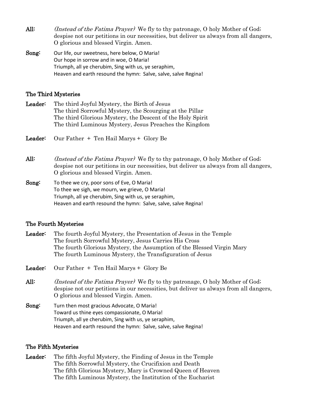All: *(Instead of the Fatima Prayer)* We fly to thy patronage, O holy Mother of God; despise not our petitions in our necessities, but deliver us always from all dangers, O glorious and blessed Virgin. Amen.

Song: Our life, our sweetness, here below, O Maria! Our hope in sorrow and in woe, O Maria! Triumph, all ye cherubim, Sing with us, ye seraphim, Heaven and earth resound the hymn: Salve, salve, salve Regina!

#### The Third Mysteries

| The third Joyful Mystery, the Birth of Jesus               |
|------------------------------------------------------------|
| The third Sorrowful Mystery, the Scourging at the Pillar   |
| The third Glorious Mystery, the Descent of the Holy Spirit |
| The third Luminous Mystery, Jesus Preaches the Kingdom     |
|                                                            |

Leader: Our Father + Ten Hail Marys + Glory Be

All: *(Instead of the Fatima Prayer)* We fly to thy patronage, O holy Mother of God; despise not our petitions in our necessities, but deliver us always from all dangers, O glorious and blessed Virgin. Amen.

Song: To thee we cry, poor sons of Eve, O Maria! To thee we sigh, we mourn, we grieve, O Maria! Triumph, all ye cherubim, Sing with us, ye seraphim, Heaven and earth resound the hymn: Salve, salve, salve Regina!

#### The Fourth Mysteries

| Leader:             | The fourth Joyful Mystery, the Presentation of Jesus in the Temple     |
|---------------------|------------------------------------------------------------------------|
|                     | The fourth Sorrowful Mystery, Jesus Carries His Cross                  |
|                     | The fourth Glorious Mystery, the Assumption of the Blessed Virgin Mary |
|                     | The fourth Luminous Mystery, the Transfiguration of Jesus              |
|                     |                                                                        |
| $\textbf{Leader}$ : | Our Father + Ten Hail Marys + Glory Be                                 |

- All: *(Instead of the Fatima Prayer)* We fly to thy patronage, O holy Mother of God; despise not our petitions in our necessities, but deliver us always from all dangers, O glorious and blessed Virgin. Amen.
- Song: Turn then most gracious Advocate, O Maria! Toward us thine eyes compassionate, O Maria! Triumph, all ye cherubim, Sing with us, ye seraphim, Heaven and earth resound the hymn: Salve, salve, salve Regina!

#### The Fifth Mysteries

Leader: The fifth Joyful Mystery, the Finding of Jesus in the Temple The fifth Sorrowful Mystery, the Crucifixion and Death The fifth Glorious Mystery, Mary is Crowned Queen of Heaven The fifth Luminous Mystery, the Institution of the Eucharist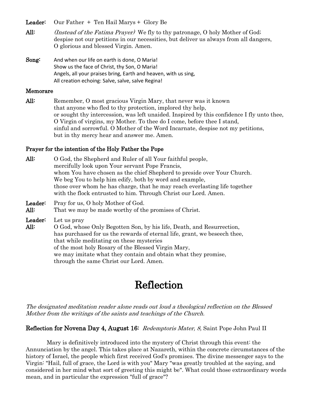Leader: Our Father + Ten Hail Marys + Glory Be

- All: *(Instead of the Fatima Prayer)* We fly to thy patronage, O holy Mother of God; despise not our petitions in our necessities, but deliver us always from all dangers, O glorious and blessed Virgin. Amen.
- Song: And when our life on earth is done, O Maria! Show us the face of Christ, thy Son, O Maria! Angels, all your praises bring, Earth and heaven, with us sing, All creation echoing: Salve, salve, salve Regina!

#### Memorare

All: Remember, O most gracious Virgin Mary, that never was it known that anyone who fled to thy protection, implored thy help, or sought thy intercession, was left unaided. Inspired by this confidence I fly unto thee, O Virgin of virgins, my Mother. To thee do I come, before thee I stand, sinful and sorrowful. O Mother of the Word Incarnate, despise not my petitions, but in thy mercy hear and answer me. Amen.

#### Prayer for the intention of the Holy Father the Pope

| All:            | O God, the Shepherd and Ruler of all Your faithful people,                                                                                    |  |
|-----------------|-----------------------------------------------------------------------------------------------------------------------------------------------|--|
|                 | mercifully look upon Your servant Pope Francis,                                                                                               |  |
|                 | whom You have chosen as the chief Shepherd to preside over Your Church.                                                                       |  |
|                 | We beg You to help him edify, both by word and example,                                                                                       |  |
|                 | those over whom he has charge, that he may reach everlasting life together<br>with the flock entrusted to him. Through Christ our Lord. Amen. |  |
| Leader:<br>All: | Pray for us, O holy Mother of God.<br>That we may be made worthy of the promises of Christ.                                                   |  |
| Leader:         | Let us pray                                                                                                                                   |  |
| All:            | O God, whose Only Begotten Son, by his life, Death, and Resurrection,                                                                         |  |
|                 | has purchased for us the rewards of eternal life, grant, we beseech thee,                                                                     |  |
|                 | that while meditating on these mysteries                                                                                                      |  |
|                 | of the most holy Rosary of the Blessed Virgin Mary,                                                                                           |  |
|                 | we may imitate what they contain and obtain what they promise,                                                                                |  |

through the same Christ our Lord. Amen.

### Reflection

The designated meditation reader alone reads out loud a theological reflection on the Blessed Mother from the writings of the saints and teachings of the Church.

#### Reflection for Novena Day 4, August 16: Redemptoris Mater, 8, Saint Pope John Paul II

Mary is definitively introduced into the mystery of Christ through this event: the Annunciation by the angel. This takes place at Nazareth, within the concrete circumstances of the history of Israel, the people which first received God's promises. The divine messenger says to the Virgin: "Hail, full of grace, the Lord is with you" Mary "was greatly troubled at the saying, and considered in her mind what sort of greeting this might be". What could those extraordinary words mean, and in particular the expression "full of grace"?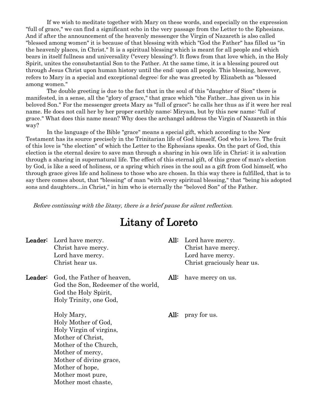If we wish to meditate together with Mary on these words, and especially on the expression "full of grace," we can find a significant echo in the very passage from the Letter to the Ephesians. And if after the announcement of the heavenly messenger the Virgin of Nazareth is also called "blessed among women" it is because of that blessing with which "God the Father" has filled us "in the heavenly places, in Christ." It is a spiritual blessing which is meant for all people and which bears in itself fullness and universality ("every blessing"). It flows from that love which, in the Holy Spirit, unites the consubstantial Son to the Father. At the same time, it is a blessing poured out through Jesus Christ upon human history until the end: upon all people. This blessing, however, refers to Mary in a special and exceptional degree: for she was greeted by Elizabeth as "blessed among women."

The double greeting is due to the fact that in the soul of this "daughter of Sion" there is manifested, in a sense, all the "glory of grace," that grace which "the Father...has given us in his beloved Son." For the messenger greets Mary as "full of grace"; he calls her thus as if it were her real name. He does not call her by her proper earthly name: Miryam, but by this new name: "full of grace." What does this name mean? Why does the archangel address the Virgin of Nazareth in this way?

In the language of the Bible "grace" means a special gift, which according to the New Testament has its source precisely in the Trinitarian life of God himself, God who is love. The fruit of this love is "the election" of which the Letter to the Ephesians speaks. On the part of God, this election is the eternal desire to save man through a sharing in his own life in Christ: it is salvation through a sharing in supernatural life. The effect of this eternal gift, of this grace of man's election by God, is like a seed of holiness, or a spring which rises in the soul as a gift from God himself, who through grace gives life and holiness to those who are chosen. In this way there is fulfilled, that is to say there comes about, that "blessing" of man "with every spiritual blessing," that "being his adopted sons and daughters...in Christ," in him who is eternally the "beloved Son" of the Father.

Before continuing with the litany, there is a brief pause for silent reflection.

### Litany of Loreto

|         | Leader: Lord have mercy.<br>Christ have mercy.<br>Lord have mercy.<br>Christ hear us.                                                                                                                                    | All: | Lord have mercy.<br>Christ have mercy.<br>Lord have mercy.<br>Christ graciously hear us. |
|---------|--------------------------------------------------------------------------------------------------------------------------------------------------------------------------------------------------------------------------|------|------------------------------------------------------------------------------------------|
| Leader: | God, the Father of heaven,<br>God the Son, Redeemer of the world,<br>God the Holy Spirit,<br>Holy Trinity, one God,                                                                                                      | All: | have mercy on us.                                                                        |
|         | Holy Mary,<br>Holy Mother of God,<br>Holy Virgin of virgins,<br>Mother of Christ,<br>Mother of the Church,<br>Mother of mercy,<br>Mother of divine grace,<br>Mother of hope,<br>Mother most pure,<br>Mother most chaste, | All: | pray for us.                                                                             |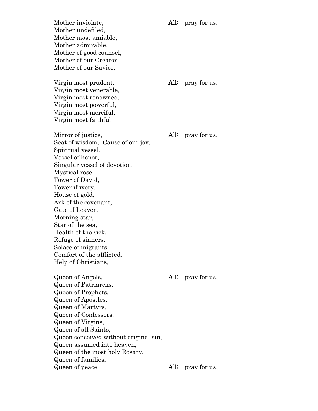| Mother inviolate,<br>Mother undefiled,<br>Mother most amiable,<br>Mother admirable,<br>Mother of good counsel,<br>Mother of our Creator,<br>Mother of our Savior,                                                                                                                                                                                                                                                 | All: | pray for us.             |
|-------------------------------------------------------------------------------------------------------------------------------------------------------------------------------------------------------------------------------------------------------------------------------------------------------------------------------------------------------------------------------------------------------------------|------|--------------------------|
| Virgin most prudent,<br>Virgin most venerable,<br>Virgin most renowned,<br>Virgin most powerful,<br>Virgin most merciful,<br>Virgin most faithful,                                                                                                                                                                                                                                                                |      | <b>All:</b> pray for us. |
| Mirror of justice,<br>Seat of wisdom, Cause of our joy,<br>Spiritual vessel,<br>Vessel of honor,<br>Singular vessel of devotion,<br>Mystical rose,<br>Tower of David,<br>Tower if ivory,<br>House of gold,<br>Ark of the covenant,<br>Gate of heaven,<br>Morning star,<br>Star of the sea,<br>Health of the sick,<br>Refuge of sinners,<br>Solace of migrants<br>Comfort of the afflicted,<br>Help of Christians, | All: | pray for us.             |
| Queen of Angels,<br>Queen of Patriarchs,<br>Queen of Prophets,<br>Queen of Apostles,<br>Queen of Martyrs,<br>Queen of Confessors,<br>Queen of Virgins,<br>Queen of all Saints,<br>Queen conceived without original sin,<br>Queen assumed into heaven,<br>Queen of the most holy Rosary,<br>Queen of families,                                                                                                     | All: | pray for us.             |
| Queen of peace.                                                                                                                                                                                                                                                                                                                                                                                                   | All: | pray for us.             |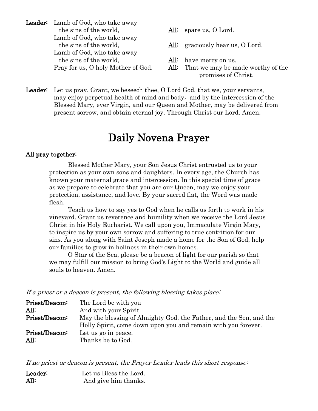| <b>Leader:</b> Lamb of God, who take away |                                               |
|-------------------------------------------|-----------------------------------------------|
| the sins of the world,                    | <b>All:</b> spare us, O Lord.                 |
| Lamb of God, who take away                |                                               |
| the sins of the world,                    | <b>All:</b> graciously hear us, O Lord.       |
| Lamb of God, who take away                |                                               |
| the sins of the world,                    | <b>All:</b> have mercy on us.                 |
| Pray for us, O holy Mother of God.        | <b>All:</b> That we may be made worthy of the |
|                                           | promises of Christ.                           |

Leader: Let us pray. Grant, we beseech thee, O Lord God, that we, your servants, may enjoy perpetual health of mind and body; and by the intercession of the Blessed Mary, ever Virgin, and our Queen and Mother, may be delivered from present sorrow, and obtain eternal joy. Through Christ our Lord. Amen.

### Daily Novena Prayer

#### All pray together:

Blessed Mother Mary, your Son Jesus Christ entrusted us to your protection as your own sons and daughters. In every age, the Church has known your maternal grace and intercession. In this special time of grace as we prepare to celebrate that you are our Queen, may we enjoy your protection, assistance, and love. By your sacred fiat, the Word was made flesh.

Teach us how to say yes to God when he calls us forth to work in his vineyard. Grant us reverence and humility when we receive the Lord Jesus Christ in his Holy Eucharist. We call upon you, Immaculate Virgin Mary, to inspire us by your own sorrow and suffering to true contrition for our sins. As you along with Saint Joseph made a home for the Son of God, help our families to grow in holiness in their own homes.

O Star of the Sea, please be a beacon of light for our parish so that we may fulfill our mission to bring God's Light to the World and guide all souls to heaven. Amen.

If a priest or a deacon is present, the following blessing takes place:

| The Lord be with you                                               |
|--------------------------------------------------------------------|
| And with your Spirit                                               |
| May the blessing of Almighty God, the Father, and the Son, and the |
| Holly Spirit, come down upon you and remain with you forever.      |
| Let us go in peace.                                                |
| Thanks be to God.                                                  |
|                                                                    |

If no priest or deacon is present, the Prayer Leader leads this short response:

| $\textbf{Leader}$ : | Let us Bless the Lord. |
|---------------------|------------------------|
| All:                | And give him thanks.   |